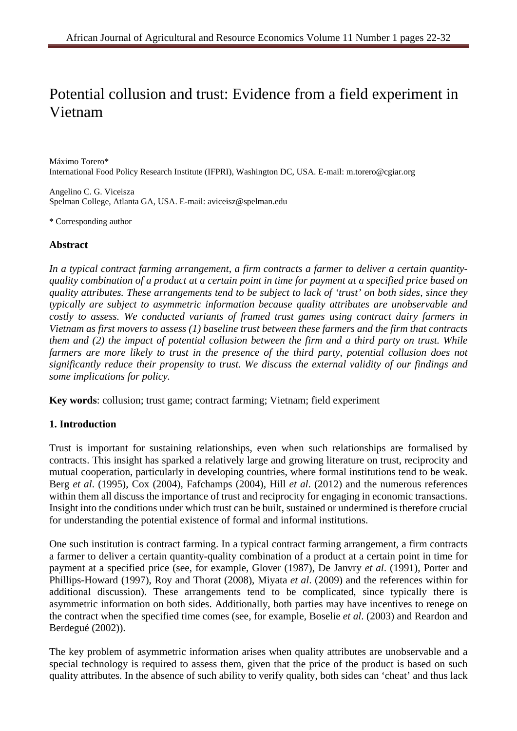# Potential collusion and trust: Evidence from a field experiment in Vietnam

Máximo Torero\* International Food Policy Research Institute (IFPRI), Washington DC, USA. E-mail: m.torero@cgiar.org

Angelino C. G. Viceisza Spelman College, Atlanta GA, USA. E-mail: aviceisz@spelman.edu

\* Corresponding author

## **Abstract**

*In a typical contract farming arrangement, a firm contracts a farmer to deliver a certain quantityquality combination of a product at a certain point in time for payment at a specified price based on quality attributes. These arrangements tend to be subject to lack of 'trust' on both sides, since they typically are subject to asymmetric information because quality attributes are unobservable and costly to assess. We conducted variants of framed trust games using contract dairy farmers in Vietnam as first movers to assess (1) baseline trust between these farmers and the firm that contracts them and (2) the impact of potential collusion between the firm and a third party on trust. While*  farmers are more likely to trust in the presence of the third party, potential collusion does not *significantly reduce their propensity to trust. We discuss the external validity of our findings and some implications for policy.* 

**Key words**: collusion; trust game; contract farming; Vietnam; field experiment

## **1. Introduction**

Trust is important for sustaining relationships, even when such relationships are formalised by contracts. This insight has sparked a relatively large and growing literature on trust, reciprocity and mutual cooperation, particularly in developing countries, where formal institutions tend to be weak. Berg *et al*. (1995), Cox (2004), Fafchamps (2004), Hill *et al*. (2012) and the numerous references within them all discuss the importance of trust and reciprocity for engaging in economic transactions. Insight into the conditions under which trust can be built, sustained or undermined is therefore crucial for understanding the potential existence of formal and informal institutions.

One such institution is contract farming. In a typical contract farming arrangement, a firm contracts a farmer to deliver a certain quantity-quality combination of a product at a certain point in time for payment at a specified price (see, for example, Glover (1987), De Janvry *et al*. (1991), Porter and Phillips-Howard (1997), Roy and Thorat (2008), Miyata *et al*. (2009) and the references within for additional discussion). These arrangements tend to be complicated, since typically there is asymmetric information on both sides. Additionally, both parties may have incentives to renege on the contract when the specified time comes (see, for example, Boselie *et al*. (2003) and Reardon and Berdegué (2002)).

The key problem of asymmetric information arises when quality attributes are unobservable and a special technology is required to assess them, given that the price of the product is based on such quality attributes. In the absence of such ability to verify quality, both sides can 'cheat' and thus lack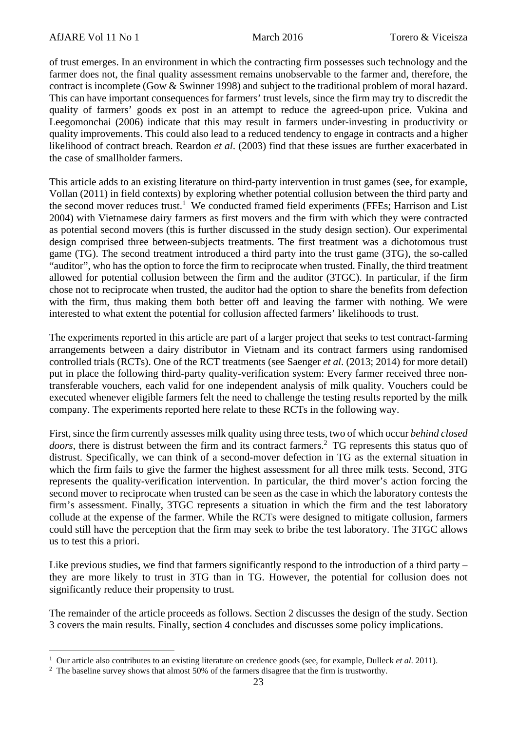of trust emerges. In an environment in which the contracting firm possesses such technology and the farmer does not, the final quality assessment remains unobservable to the farmer and, therefore, the contract is incomplete (Gow & Swinner 1998) and subject to the traditional problem of moral hazard. This can have important consequences for farmers' trust levels, since the firm may try to discredit the quality of farmers' goods ex post in an attempt to reduce the agreed-upon price. Vukina and Leegomonchai (2006) indicate that this may result in farmers under-investing in productivity or quality improvements. This could also lead to a reduced tendency to engage in contracts and a higher likelihood of contract breach. Reardon *et al*. (2003) find that these issues are further exacerbated in the case of smallholder farmers.

This article adds to an existing literature on third-party intervention in trust games (see, for example, Vollan (2011) in field contexts) by exploring whether potential collusion between the third party and the second mover reduces trust.<sup>1</sup> We conducted framed field experiments (FFEs; Harrison and List 2004) with Vietnamese dairy farmers as first movers and the firm with which they were contracted as potential second movers (this is further discussed in the study design section). Our experimental design comprised three between-subjects treatments. The first treatment was a dichotomous trust game (TG). The second treatment introduced a third party into the trust game (3TG), the so-called "auditor", who has the option to force the firm to reciprocate when trusted. Finally, the third treatment allowed for potential collusion between the firm and the auditor (3TGC). In particular, if the firm chose not to reciprocate when trusted, the auditor had the option to share the benefits from defection with the firm, thus making them both better off and leaving the farmer with nothing. We were interested to what extent the potential for collusion affected farmers' likelihoods to trust.

The experiments reported in this article are part of a larger project that seeks to test contract-farming arrangements between a dairy distributor in Vietnam and its contract farmers using randomised controlled trials (RCTs). One of the RCT treatments (see Saenger *et al*. (2013; 2014) for more detail) put in place the following third-party quality-verification system: Every farmer received three nontransferable vouchers, each valid for one independent analysis of milk quality. Vouchers could be executed whenever eligible farmers felt the need to challenge the testing results reported by the milk company. The experiments reported here relate to these RCTs in the following way.

First, since the firm currently assesses milk quality using three tests, two of which occur *behind closed*  doors, there is distrust between the firm and its contract farmers.<sup>2</sup> TG represents this status quo of distrust. Specifically, we can think of a second-mover defection in TG as the external situation in which the firm fails to give the farmer the highest assessment for all three milk tests. Second, 3TG represents the quality-verification intervention. In particular, the third mover's action forcing the second mover to reciprocate when trusted can be seen as the case in which the laboratory contests the firm's assessment. Finally, 3TGC represents a situation in which the firm and the test laboratory collude at the expense of the farmer. While the RCTs were designed to mitigate collusion, farmers could still have the perception that the firm may seek to bribe the test laboratory. The 3TGC allows us to test this a priori.

Like previous studies, we find that farmers significantly respond to the introduction of a third party – they are more likely to trust in 3TG than in TG. However, the potential for collusion does not significantly reduce their propensity to trust.

The remainder of the article proceeds as follows. Section 2 discusses the design of the study. Section 3 covers the main results. Finally, section 4 concludes and discusses some policy implications.

<u> 1989 - Johann Barn, mars eta inperiodo</u>

<sup>1</sup> Our article also contributes to an existing literature on credence goods (see, for example, Dulleck *et al*. 2011). 2

 $2$  The baseline survey shows that almost 50% of the farmers disagree that the firm is trustworthy.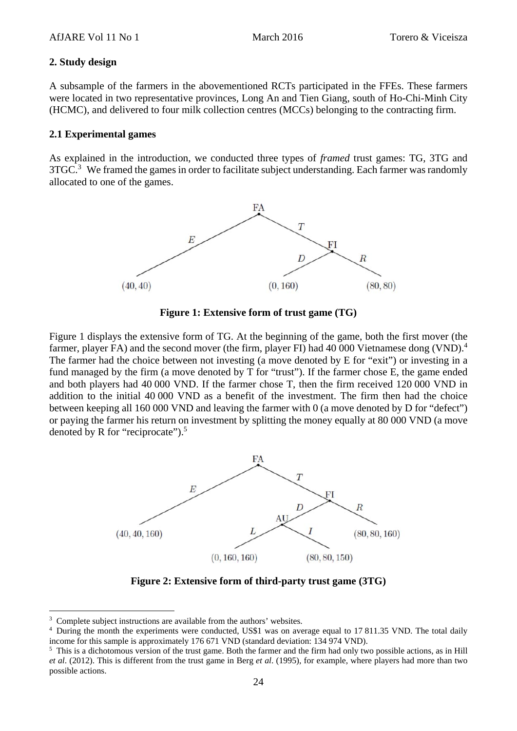#### **2. Study design**

A subsample of the farmers in the abovementioned RCTs participated in the FFEs. These farmers were located in two representative provinces, Long An and Tien Giang, south of Ho-Chi-Minh City (HCMC), and delivered to four milk collection centres (MCCs) belonging to the contracting firm.

#### **2.1 Experimental games**

As explained in the introduction, we conducted three types of *framed* trust games: TG, 3TG and  $3TGC<sup>3</sup>$  We framed the games in order to facilitate subject understanding. Each farmer was randomly allocated to one of the games.



**Figure 1: Extensive form of trust game (TG)** 

Figure 1 displays the extensive form of TG. At the beginning of the game, both the first mover (the farmer, player FA) and the second mover (the firm, player FI) had 40 000 Vietnamese dong (VND).<sup>4</sup> The farmer had the choice between not investing (a move denoted by E for "exit") or investing in a fund managed by the firm (a move denoted by T for "trust"). If the farmer chose E, the game ended and both players had 40 000 VND. If the farmer chose T, then the firm received 120 000 VND in addition to the initial 40 000 VND as a benefit of the investment. The firm then had the choice between keeping all 160 000 VND and leaving the farmer with 0 (a move denoted by D for "defect") or paying the farmer his return on investment by splitting the money equally at 80 000 VND (a move denoted by R for "reciprocate").<sup>5</sup>



**Figure 2: Extensive form of third-party trust game (3TG)** 

<sup>&</sup>lt;sup>3</sup> Complete subject instructions are available from the authors' websites.

<sup>&</sup>lt;sup>4</sup> During the month the experiments were conducted, US\$1 was on average equal to 17 811.35 VND. The total daily income for this sample is approximately 176 671 VND (standard deviation: 134 974 VND).

 $<sup>5</sup>$  This is a dichotomous version of the trust game. Both the farmer and the firm had only two possible actions, as in Hill</sup> *et al*. (2012). This is different from the trust game in Berg *et al*. (1995), for example, where players had more than two possible actions.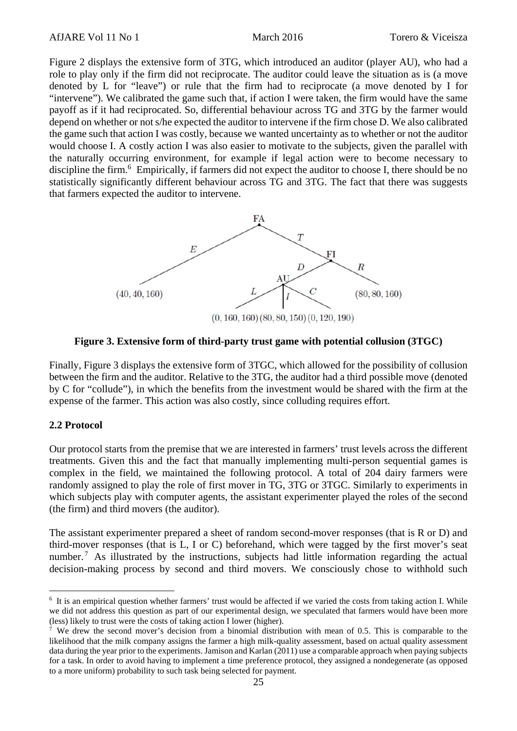Figure 2 displays the extensive form of 3TG, which introduced an auditor (player AU), who had a role to play only if the firm did not reciprocate. The auditor could leave the situation as is (a move denoted by L for "leave") or rule that the firm had to reciprocate (a move denoted by I for "intervene"). We calibrated the game such that, if action I were taken, the firm would have the same payoff as if it had reciprocated. So, differential behaviour across TG and 3TG by the farmer would depend on whether or not s/he expected the auditor to intervene if the firm chose D. We also calibrated the game such that action I was costly, because we wanted uncertainty as to whether or not the auditor would choose I. A costly action I was also easier to motivate to the subjects, given the parallel with the naturally occurring environment, for example if legal action were to become necessary to discipline the firm.<sup>6</sup> Empirically, if farmers did not expect the auditor to choose I, there should be no statistically significantly different behaviour across TG and 3TG. The fact that there was suggests that farmers expected the auditor to intervene.



#### **Figure 3. Extensive form of third-party trust game with potential collusion (3TGC)**

Finally, Figure 3 displays the extensive form of 3TGC, which allowed for the possibility of collusion between the firm and the auditor. Relative to the 3TG, the auditor had a third possible move (denoted by C for "collude"), in which the benefits from the investment would be shared with the firm at the expense of the farmer. This action was also costly, since colluding requires effort.

#### **2.2 Protocol**

Our protocol starts from the premise that we are interested in farmers' trust levels across the different treatments. Given this and the fact that manually implementing multi-person sequential games is complex in the field, we maintained the following protocol. A total of 204 dairy farmers were randomly assigned to play the role of first mover in TG, 3TG or 3TGC. Similarly to experiments in which subjects play with computer agents, the assistant experimenter played the roles of the second (the firm) and third movers (the auditor).

The assistant experimenter prepared a sheet of random second-mover responses (that is R or D) and third-mover responses (that is L, I or C) beforehand, which were tagged by the first mover's seat number.<sup>7</sup> As illustrated by the instructions, subjects had little information regarding the actual decision-making process by second and third movers. We consciously chose to withhold such

<sup>&</sup>lt;sup>6</sup> It is an empirical question whether farmers' trust would be affected if we varied the costs from taking action I. While we did not address this question as part of our experimental design, we speculated that farmers would have been more (less) likely to trust were the costs of taking action I lower (higher).

<sup>&</sup>lt;sup>7</sup> We drew the second mover's decision from a binomial distribution with mean of 0.5. This is comparable to the likelihood that the milk company assigns the farmer a high milk-quality assessment, based on actual quality assessment data during the year prior to the experiments. Jamison and Karlan (2011) use a comparable approach when paying subjects for a task. In order to avoid having to implement a time preference protocol, they assigned a nondegenerate (as opposed to a more uniform) probability to such task being selected for payment.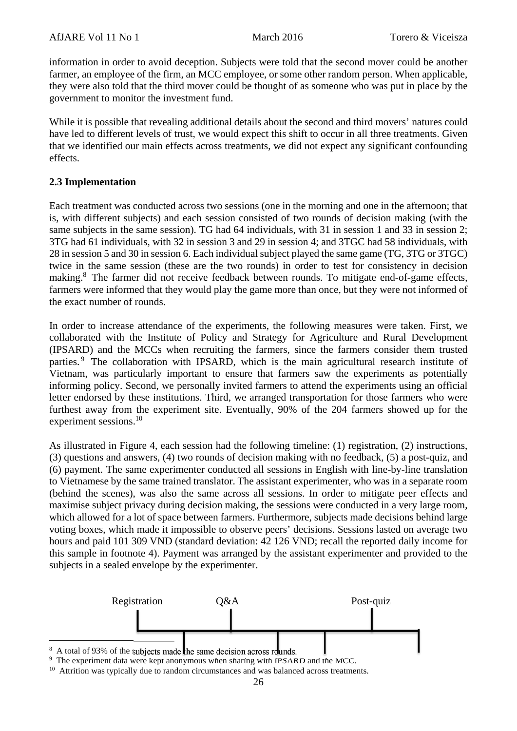information in order to avoid deception. Subjects were told that the second mover could be another farmer, an employee of the firm, an MCC employee, or some other random person. When applicable, they were also told that the third mover could be thought of as someone who was put in place by the government to monitor the investment fund.

While it is possible that revealing additional details about the second and third movers' natures could have led to different levels of trust, we would expect this shift to occur in all three treatments. Given that we identified our main effects across treatments, we did not expect any significant confounding effects.

## **2.3 Implementation**

Each treatment was conducted across two sessions (one in the morning and one in the afternoon; that is, with different subjects) and each session consisted of two rounds of decision making (with the same subjects in the same session). TG had 64 individuals, with 31 in session 1 and 33 in session 2; 3TG had 61 individuals, with 32 in session 3 and 29 in session 4; and 3TGC had 58 individuals, with 28 in session 5 and 30 in session 6. Each individual subject played the same game (TG, 3TG or 3TGC) twice in the same session (these are the two rounds) in order to test for consistency in decision making.<sup>8</sup> The farmer did not receive feedback between rounds. To mitigate end-of-game effects, farmers were informed that they would play the game more than once, but they were not informed of the exact number of rounds.

In order to increase attendance of the experiments, the following measures were taken. First, we collaborated with the Institute of Policy and Strategy for Agriculture and Rural Development (IPSARD) and the MCCs when recruiting the farmers, since the farmers consider them trusted parties.<sup>9</sup> The collaboration with IPSARD, which is the main agricultural research institute of Vietnam, was particularly important to ensure that farmers saw the experiments as potentially informing policy. Second, we personally invited farmers to attend the experiments using an official letter endorsed by these institutions. Third, we arranged transportation for those farmers who were furthest away from the experiment site. Eventually, 90% of the 204 farmers showed up for the experiment sessions.<sup>10</sup>

As illustrated in Figure 4, each session had the following timeline: (1) registration, (2) instructions, (3) questions and answers, (4) two rounds of decision making with no feedback, (5) a post-quiz, and (6) payment. The same experimenter conducted all sessions in English with line-by-line translation to Vietnamese by the same trained translator. The assistant experimenter, who was in a separate room (behind the scenes), was also the same across all sessions. In order to mitigate peer effects and maximise subject privacy during decision making, the sessions were conducted in a very large room, which allowed for a lot of space between farmers. Furthermore, subjects made decisions behind large voting boxes, which made it impossible to observe peers' decisions. Sessions lasted on average two hours and paid 101 309 VND (standard deviation: 42 126 VND; recall the reported daily income for this sample in footnote 4). Payment was arranged by the assistant experimenter and provided to the subjects in a sealed envelope by the experimenter.



8 A total of 93% of the subjects made the same decision across rounds.

<sup>&</sup>lt;sup>9</sup> The experiment data were kept anonymous when sharing with IPSARD and the MCC.

<sup>&</sup>lt;sup>10</sup> Attrition was typically due to random circumstances and was balanced across treatments.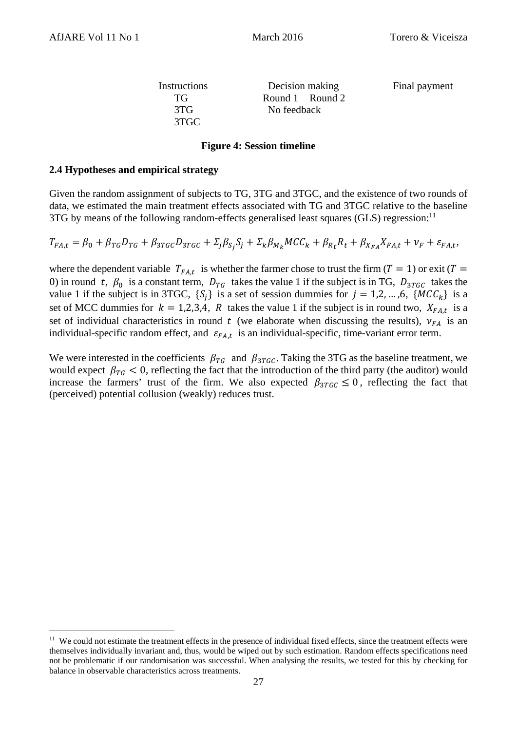3TGC

Instructions Decision making Final payment TG Round 1 Round 2 3TG No feedback

#### **Figure 4: Session timeline**

#### **2.4 Hypotheses and empirical strategy**

<u> 1989 - Johann Barn, mars eta inperiodo</u>

Given the random assignment of subjects to TG, 3TG and 3TGC, and the existence of two rounds of data, we estimated the main treatment effects associated with TG and 3TGC relative to the baseline 3TG by means of the following random-effects generalised least squares (GLS) regression:<sup>11</sup>

 $T_{FA,t} = \beta_0 + \beta_{TG}D_{TG} + \beta_{3TGC}D_{3TGC} + \sum_i \beta_{S,i} S_i + \sum_k \beta_{Mk}MCC_k + \beta_{Rk}R_t + \beta_{XFA}K_{FA} + \nu_F + \varepsilon_{FA,t}$ 

where the dependent variable  $T_{FA,t}$  is whether the farmer chose to trust the firm ( $T = 1$ ) or exit ( $T =$ 0) in round t,  $\beta_0$  is a constant term,  $D_{TG}$  takes the value 1 if the subject is in TG,  $D_{3TGC}$  takes the value 1 if the subject is in 3TGC,  $\{S_i\}$  is a set of session dummies for  $j = 1, 2, ..., 6$ ,  $\{MCC_k\}$  is a set of MCC dummies for  $k = 1,2,3,4$ , R takes the value 1 if the subject is in round two,  $X_{FA,t}$  is a set of individual characteristics in round t (we elaborate when discussing the results),  $v_{FA}$  is an individual-specific random effect, and  $\varepsilon_{FA,t}$  is an individual-specific, time-variant error term.

We were interested in the coefficients  $\beta_{TG}$  and  $\beta_{3TGC}$ . Taking the 3TG as the baseline treatment, we would expect  $\beta_{TG}$  < 0, reflecting the fact that the introduction of the third party (the auditor) would increase the farmers' trust of the firm. We also expected  $\beta_{3TC} \leq 0$ , reflecting the fact that (perceived) potential collusion (weakly) reduces trust.

<sup>&</sup>lt;sup>11</sup> We could not estimate the treatment effects in the presence of individual fixed effects, since the treatment effects were themselves individually invariant and, thus, would be wiped out by such estimation. Random effects specifications need not be problematic if our randomisation was successful. When analysing the results, we tested for this by checking for balance in observable characteristics across treatments.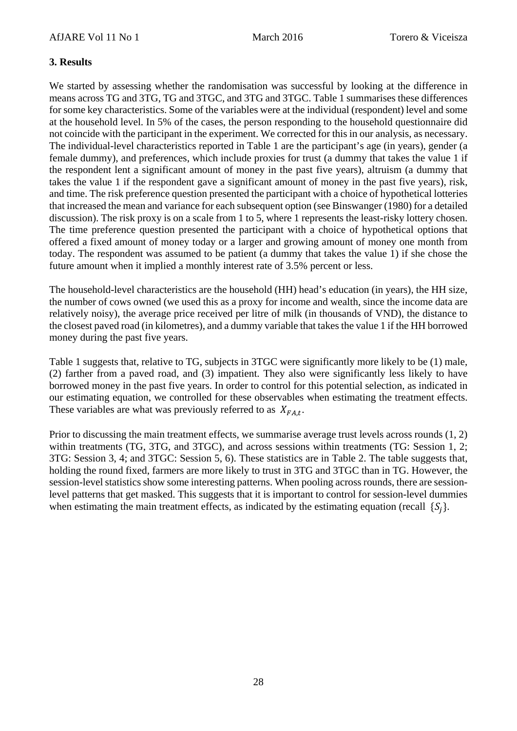## **3. Results**

We started by assessing whether the randomisation was successful by looking at the difference in means across TG and 3TG, TG and 3TGC, and 3TG and 3TGC. Table 1 summarises these differences for some key characteristics. Some of the variables were at the individual (respondent) level and some at the household level. In 5% of the cases, the person responding to the household questionnaire did not coincide with the participant in the experiment. We corrected for this in our analysis, as necessary. The individual-level characteristics reported in Table 1 are the participant's age (in years), gender (a female dummy), and preferences, which include proxies for trust (a dummy that takes the value 1 if the respondent lent a significant amount of money in the past five years), altruism (a dummy that takes the value 1 if the respondent gave a significant amount of money in the past five years), risk, and time. The risk preference question presented the participant with a choice of hypothetical lotteries that increased the mean and variance for each subsequent option (see Binswanger (1980) for a detailed discussion). The risk proxy is on a scale from 1 to 5, where 1 represents the least-risky lottery chosen. The time preference question presented the participant with a choice of hypothetical options that offered a fixed amount of money today or a larger and growing amount of money one month from today. The respondent was assumed to be patient (a dummy that takes the value 1) if she chose the future amount when it implied a monthly interest rate of 3.5% percent or less.

The household-level characteristics are the household (HH) head's education (in years), the HH size, the number of cows owned (we used this as a proxy for income and wealth, since the income data are relatively noisy), the average price received per litre of milk (in thousands of VND), the distance to the closest paved road (in kilometres), and a dummy variable that takes the value 1 if the HH borrowed money during the past five years.

Table 1 suggests that, relative to TG, subjects in 3TGC were significantly more likely to be (1) male, (2) farther from a paved road, and (3) impatient. They also were significantly less likely to have borrowed money in the past five years. In order to control for this potential selection, as indicated in our estimating equation, we controlled for these observables when estimating the treatment effects. These variables are what was previously referred to as  $X_{FA,t}$ .

Prior to discussing the main treatment effects, we summarise average trust levels across rounds (1, 2) within treatments (TG, 3TG, and 3TGC), and across sessions within treatments (TG: Session 1, 2; 3TG: Session 3, 4; and 3TGC: Session 5, 6). These statistics are in Table 2. The table suggests that, holding the round fixed, farmers are more likely to trust in 3TG and 3TGC than in TG. However, the session-level statistics show some interesting patterns. When pooling across rounds, there are sessionlevel patterns that get masked. This suggests that it is important to control for session-level dummies when estimating the main treatment effects, as indicated by the estimating equation (recall  $\{S_i\}$ .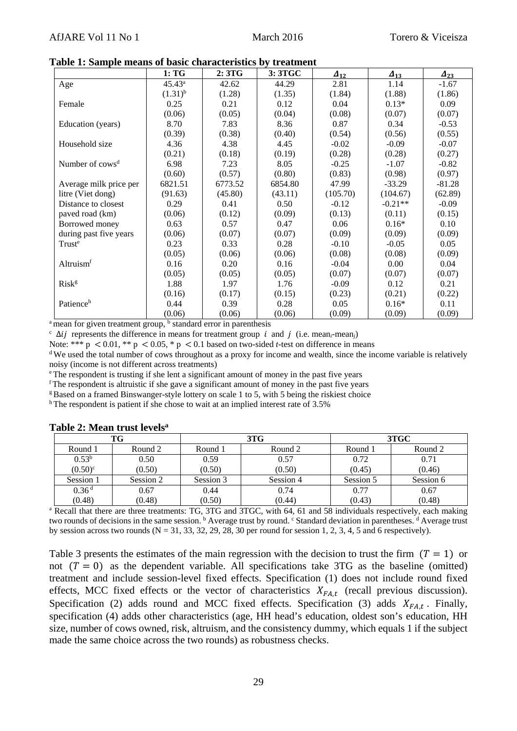|                             | 1: TG        | 2:3TG   | 3: 3TGC | $\boldsymbol{\varDelta}_{12}$ | $A_{13}$  | $A_{23}$ |
|-----------------------------|--------------|---------|---------|-------------------------------|-----------|----------|
| Age                         | $45.43^a$    | 42.62   | 44.29   | 2.81                          | 1.14      | $-1.67$  |
|                             | $(1.31)^{b}$ | (1.28)  | (1.35)  | (1.84)                        | (1.88)    | (1.86)   |
| Female                      | 0.25         | 0.21    | 0.12    | 0.04                          | $0.13*$   | 0.09     |
|                             | (0.06)       | (0.05)  | (0.04)  | (0.08)                        | (0.07)    | (0.07)   |
| Education (years)           | 8.70         | 7.83    | 8.36    | 0.87                          | 0.34      | $-0.53$  |
|                             | (0.39)       | (0.38)  | (0.40)  | (0.54)                        | (0.56)    | (0.55)   |
| Household size              | 4.36         | 4.38    | 4.45    | $-0.02$                       | $-0.09$   | $-0.07$  |
|                             | (0.21)       | (0.18)  | (0.19)  | (0.28)                        | (0.28)    | (0.27)   |
| Number of cows <sup>d</sup> | 6.98         | 7.23    | 8.05    | $-0.25$                       | $-1.07$   | $-0.82$  |
|                             | (0.60)       | (0.57)  | (0.80)  | (0.83)                        | (0.98)    | (0.97)   |
| Average milk price per      | 6821.51      | 6773.52 | 6854.80 | 47.99                         | $-33.29$  | $-81.28$ |
| litre (Viet dong)           | (91.63)      | (45.80) | (43.11) | (105.70)                      | (104.67)  | (62.89)  |
| Distance to closest         | 0.29         | 0.41    | 0.50    | $-0.12$                       | $-0.21**$ | $-0.09$  |
| paved road (km)             | (0.06)       | (0.12)  | (0.09)  | (0.13)                        | (0.11)    | (0.15)   |
| Borrowed money              | 0.63         | 0.57    | 0.47    | 0.06                          | $0.16*$   | 0.10     |
| during past five years      | (0.06)       | (0.07)  | (0.07)  | (0.09)                        | (0.09)    | (0.09)   |
| Truste                      | 0.23         | 0.33    | 0.28    | $-0.10$                       | $-0.05$   | 0.05     |
|                             | (0.05)       | (0.06)  | (0.06)  | (0.08)                        | (0.08)    | (0.09)   |
| Altruism <sup>f</sup>       | 0.16         | 0.20    | 0.16    | $-0.04$                       | 0.00      | 0.04     |
|                             | (0.05)       | (0.05)  | (0.05)  | (0.07)                        | (0.07)    | (0.07)   |
| Risk <sup>g</sup>           | 1.88         | 1.97    | 1.76    | $-0.09$                       | 0.12      | 0.21     |
|                             | (0.16)       | (0.17)  | (0.15)  | (0.23)                        | (0.21)    | (0.22)   |
| Patienceh                   | 0.44         | 0.39    | 0.28    | 0.05                          | $0.16*$   | 0.11     |
|                             | (0.06)       | (0.06)  | (0.06)  | (0.09)                        | (0.09)    | (0.09)   |

**Table 1: Sample means of basic characteristics by treatment** 

 $\frac{1}{2}$  mean for given treatment group,  $\frac{1}{2}$  standard error in parenthesis

<sup>c</sup>  $\Delta ij$  represents the difference in means for treatment group *i* and *j* (i.e. mean<sub>*i*</sub>-mean<sub>*j*</sub>)<br>Note: \*\*\* p < 0.01, \*\* p < 0.05, \* p < 0.1 based on two-sided *t*-test on difference in means

<sup>d</sup> We used the total number of cows throughout as a proxy for income and wealth, since the income variable is relatively noisy (income is not different across treatments)

e The respondent is trusting if she lent a significant amount of money in the past five years

f The respondent is altruistic if she gave a significant amount of money in the past five years

<sup>g</sup> Based on a framed Binswanger-style lottery on scale 1 to 5, with 5 being the riskiest choice

h The respondent is patient if she chose to wait at an implied interest rate of 3.5%

| TG                                                                                                                              |           |           | 3T <sub>G</sub> | 3TGC      |           |  |
|---------------------------------------------------------------------------------------------------------------------------------|-----------|-----------|-----------------|-----------|-----------|--|
| Round 1                                                                                                                         | Round 2   | Round 1   | Round 2         | Round 1   | Round 2   |  |
| 0.53 <sup>b</sup>                                                                                                               | 0.50      | 0.59      | 0.57            | 0.72      | 0.71      |  |
| $(0.50)^{c}$                                                                                                                    | (0.50)    | (0.50)    | (0.50)          | (0.45)    | (0.46)    |  |
| Session 1                                                                                                                       | Session 2 | Session 3 | Session 4       | Session 5 | Session 6 |  |
| 0.36 <sup>d</sup>                                                                                                               | 0.67      | 0.44      | 0.74            | 0.77      | 0.67      |  |
| (0.48)                                                                                                                          | (0.48)    | (0.50)    | (0.44)          | (0.43)    | (0.48)    |  |
| <sup>a</sup> Recall that there are three treatments: TG, 3TG and 3TGC, with 64, 61 and 58 individuals respectively, each making |           |           |                 |           |           |  |

#### **Table 2: Mean trust levelsa**

two rounds of decisions in the same session. <sup>b</sup> Average trust by round. <sup>c</sup> Standard deviation in parentheses. <sup>d</sup> Average trust by session across two rounds  $(N = 31, 33, 32, 29, 28, 30$  per round for session 1, 2, 3, 4, 5 and 6 respectively).

Table 3 presents the estimates of the main regression with the decision to trust the firm  $(T = 1)$  or not  $(T = 0)$  as the dependent variable. All specifications take 3TG as the baseline (omitted) treatment and include session-level fixed effects. Specification (1) does not include round fixed effects, MCC fixed effects or the vector of characteristics  $X_{FA,t}$  (recall previous discussion). Specification (2) adds round and MCC fixed effects. Specification (3) adds  $X_{FA,t}$ . Finally, specification (4) adds other characteristics (age, HH head's education, oldest son's education, HH size, number of cows owned, risk, altruism, and the consistency dummy, which equals 1 if the subject made the same choice across the two rounds) as robustness checks.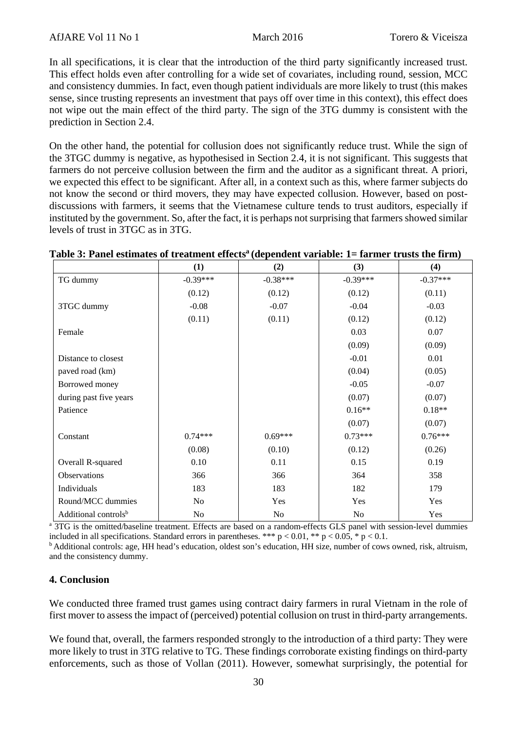In all specifications, it is clear that the introduction of the third party significantly increased trust. This effect holds even after controlling for a wide set of covariates, including round, session, MCC and consistency dummies. In fact, even though patient individuals are more likely to trust (this makes sense, since trusting represents an investment that pays off over time in this context), this effect does not wipe out the main effect of the third party. The sign of the 3TG dummy is consistent with the prediction in Section 2.4.

On the other hand, the potential for collusion does not significantly reduce trust. While the sign of the 3TGC dummy is negative, as hypothesised in Section 2.4, it is not significant. This suggests that farmers do not perceive collusion between the firm and the auditor as a significant threat. A priori, we expected this effect to be significant. After all, in a context such as this, where farmer subjects do not know the second or third movers, they may have expected collusion. However, based on postdiscussions with farmers, it seems that the Vietnamese culture tends to trust auditors, especially if instituted by the government. So, after the fact, it is perhaps not surprising that farmers showed similar levels of trust in 3TGC as in 3TG.

| Table 3: Panel estimates of treatment effects <sup>a</sup> (dependent variable: 1= farmer trusts the firm) |
|------------------------------------------------------------------------------------------------------------|
|------------------------------------------------------------------------------------------------------------|

|                                  | (1)            | (2)        | (3)            | (4)        |
|----------------------------------|----------------|------------|----------------|------------|
| TG dummy                         | $-0.39***$     | $-0.38***$ | $-0.39***$     | $-0.37***$ |
|                                  | (0.12)         | (0.12)     | (0.12)         | (0.11)     |
| 3TGC dummy                       | $-0.08$        | $-0.07$    | $-0.04$        | $-0.03$    |
|                                  | (0.11)         | (0.11)     | (0.12)         | (0.12)     |
| Female                           |                |            | 0.03           | 0.07       |
|                                  |                |            | (0.09)         | (0.09)     |
| Distance to closest              |                |            | $-0.01$        | 0.01       |
| paved road (km)                  |                |            | (0.04)         | (0.05)     |
| Borrowed money                   |                |            | $-0.05$        | $-0.07$    |
| during past five years           |                |            | (0.07)         | (0.07)     |
| Patience                         |                |            | $0.16**$       | $0.18**$   |
|                                  |                |            | (0.07)         | (0.07)     |
| Constant                         | $0.74***$      | $0.69***$  | $0.73***$      | $0.76***$  |
|                                  | (0.08)         | (0.10)     | (0.12)         | (0.26)     |
| Overall R-squared                | 0.10           | 0.11       | 0.15           | 0.19       |
| Observations                     | 366            | 366        | 364            | 358        |
| Individuals                      | 183            | 183        | 182            | 179        |
| Round/MCC dummies                | N <sub>0</sub> | Yes        | Yes            | Yes        |
| Additional controls <sup>b</sup> | No             | No         | N <sub>o</sub> | Yes        |

a 3TG is the omitted/baseline treatment. Effects are based on a random-effects GLS panel with session-level dummies included in all specifications. Standard errors in parentheses. \*\*\*  $p < 0.01$ , \*\*  $p < 0.05$ , \*  $p < 0.1$ .

<sup>b</sup> Additional controls: age, HH head's education, oldest son's education, HH size, number of cows owned, risk, altruism, and the consistency dummy.

## **4. Conclusion**

We conducted three framed trust games using contract dairy farmers in rural Vietnam in the role of first mover to assess the impact of (perceived) potential collusion on trust in third-party arrangements.

We found that, overall, the farmers responded strongly to the introduction of a third party: They were more likely to trust in 3TG relative to TG. These findings corroborate existing findings on third-party enforcements, such as those of Vollan (2011). However, somewhat surprisingly, the potential for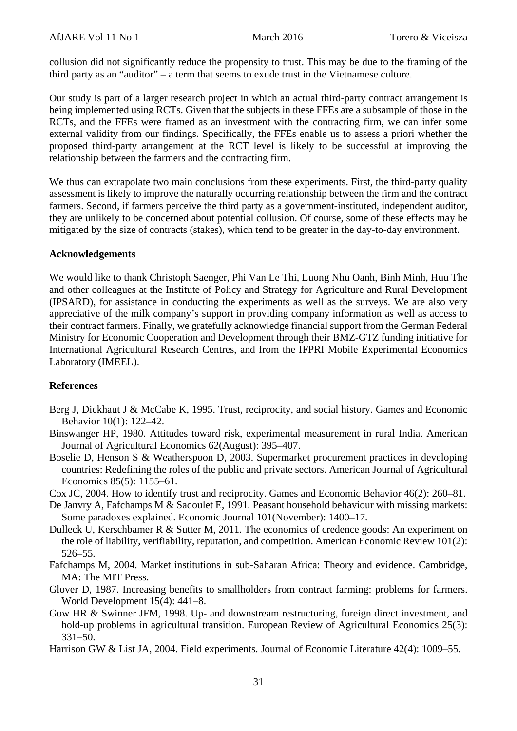collusion did not significantly reduce the propensity to trust. This may be due to the framing of the third party as an "auditor" – a term that seems to exude trust in the Vietnamese culture.

Our study is part of a larger research project in which an actual third-party contract arrangement is being implemented using RCTs. Given that the subjects in these FFEs are a subsample of those in the RCTs, and the FFEs were framed as an investment with the contracting firm, we can infer some external validity from our findings. Specifically, the FFEs enable us to assess a priori whether the proposed third-party arrangement at the RCT level is likely to be successful at improving the relationship between the farmers and the contracting firm.

We thus can extrapolate two main conclusions from these experiments. First, the third-party quality assessment is likely to improve the naturally occurring relationship between the firm and the contract farmers. Second, if farmers perceive the third party as a government-instituted, independent auditor, they are unlikely to be concerned about potential collusion. Of course, some of these effects may be mitigated by the size of contracts (stakes), which tend to be greater in the day-to-day environment.

### **Acknowledgements**

We would like to thank Christoph Saenger, Phi Van Le Thi, Luong Nhu Oanh, Binh Minh, Huu The and other colleagues at the Institute of Policy and Strategy for Agriculture and Rural Development (IPSARD), for assistance in conducting the experiments as well as the surveys. We are also very appreciative of the milk company's support in providing company information as well as access to their contract farmers. Finally, we gratefully acknowledge financial support from the German Federal Ministry for Economic Cooperation and Development through their BMZ-GTZ funding initiative for International Agricultural Research Centres, and from the IFPRI Mobile Experimental Economics Laboratory (IMEEL).

## **References**

- Berg J, Dickhaut J & McCabe K, 1995. Trust, reciprocity, and social history. Games and Economic Behavior 10(1): 122–42.
- Binswanger HP, 1980. Attitudes toward risk, experimental measurement in rural India. American Journal of Agricultural Economics 62(August): 395–407.
- Boselie D, Henson S & Weatherspoon D, 2003. Supermarket procurement practices in developing countries: Redefining the roles of the public and private sectors. American Journal of Agricultural Economics 85(5): 1155–61.
- Cox JC, 2004. How to identify trust and reciprocity. Games and Economic Behavior 46(2): 260–81.
- De Janvry A, Fafchamps M & Sadoulet E, 1991. Peasant household behaviour with missing markets: Some paradoxes explained. Economic Journal 101(November): 1400–17.
- Dulleck U, Kerschbamer R & Sutter M, 2011. The economics of credence goods: An experiment on the role of liability, verifiability, reputation, and competition. American Economic Review 101(2): 526–55.
- Fafchamps M, 2004. Market institutions in sub-Saharan Africa: Theory and evidence. Cambridge, MA: The MIT Press.
- Glover D, 1987. Increasing benefits to smallholders from contract farming: problems for farmers. World Development 15(4): 441–8.
- Gow HR & Swinner JFM, 1998. Up- and downstream restructuring, foreign direct investment, and hold-up problems in agricultural transition. European Review of Agricultural Economics 25(3): 331–50.
- Harrison GW & List JA, 2004. Field experiments. Journal of Economic Literature 42(4): 1009–55.